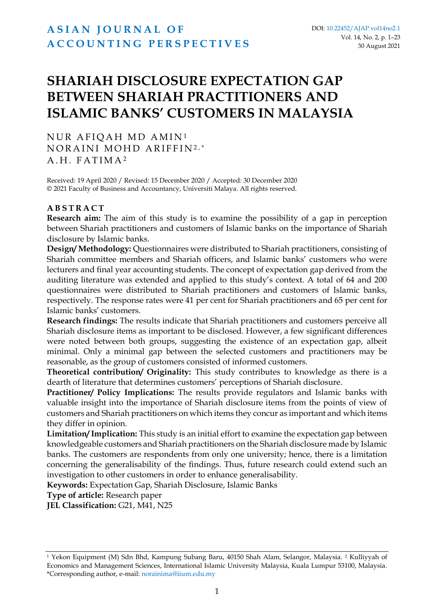# **SHARIAH DISCLOSURE EXPECTATION GAP BETWEEN SHARIAH PRACTITIONERS AND ISLAMIC BANKS' CUSTOMERS IN MALAYSIA**

NUR AFIOAH MD AMIN<sup>1</sup> NORAINI MOHD ARIFFIN2,\* A.H. FATIMA<sup>2</sup>

Received: 19 April 2020 / Revised: 15 December 2020 / Accepted: 30 December 2020 © 2021 Faculty of Business and Accountancy, Universiti Malaya. All rights reserved.

### **A B S T R A C T**

**Research aim:** The aim of this study is to examine the possibility of a gap in perception between Shariah practitioners and customers of Islamic banks on the importance of Shariah disclosure by Islamic banks.

**Design/ Methodology:** Questionnaires were distributed to Shariah practitioners, consisting of Shariah committee members and Shariah officers, and Islamic banks' customers who were lecturers and final year accounting students. The concept of expectation gap derived from the auditing literature was extended and applied to this study's context. A total of 64 and 200 questionnaires were distributed to Shariah practitioners and customers of Islamic banks, respectively. The response rates were 41 per cent for Shariah practitioners and 65 per cent for Islamic banks' customers.

**Research findings:** The results indicate that Shariah practitioners and customers perceive all Shariah disclosure items as important to be disclosed. However, a few significant differences were noted between both groups, suggesting the existence of an expectation gap, albeit minimal. Only a minimal gap between the selected customers and practitioners may be reasonable, as the group of customers consisted of informed customers.

**Theoretical contribution/ Originality:** This study contributes to knowledge as there is a dearth of literature that determines customers' perceptions of Shariah disclosure.

**Practitioner/ Policy Implications:** The results provide regulators and Islamic banks with valuable insight into the importance of Shariah disclosure items from the points of view of customers and Shariah practitioners on which items they concur as important and which items they differ in opinion.

**Limitation/ Implication:** This study is an initial effort to examine the expectation gap between knowledgeable customers and Shariah practitioners on the Shariah disclosure made by Islamic banks. The customers are respondents from only one university; hence, there is a limitation concerning the generalisability of the findings. Thus, future research could extend such an investigation to other customers in order to enhance generalisability.

**Keywords:** Expectation Gap, Shariah Disclosure, Islamic Banks

**Type of article:** Research paper

**JEL Classification:** G21, M41, N25

<sup>1</sup> Yekon Equipment (M) Sdn Bhd, Kampung Subang Baru, 40150 Shah Alam, Selangor, Malaysia. <sup>2</sup> Kulliyyah of Economics and Management Sciences, International Islamic University Malaysia, Kuala Lumpur 53100, Malaysia. \*Corresponding author, e-mail: norainima@iium.edu.my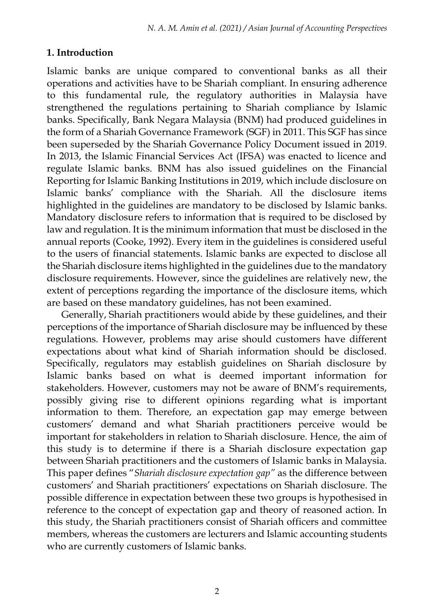# **1. Introduction**

Islamic banks are unique compared to conventional banks as all their operations and activities have to be Shariah compliant. In ensuring adherence to this fundamental rule, the regulatory authorities in Malaysia have strengthened the regulations pertaining to Shariah compliance by Islamic banks. Specifically, Bank Negara Malaysia (BNM) had produced guidelines in the form of a Shariah Governance Framework (SGF) in 2011. This SGF has since been superseded by the Shariah Governance Policy Document issued in 2019. In 2013, the Islamic Financial Services Act (IFSA) was enacted to licence and regulate Islamic banks. BNM has also issued guidelines on the Financial Reporting for Islamic Banking Institutions in 2019, which include disclosure on Islamic banks' compliance with the Shariah. All the disclosure items highlighted in the guidelines are mandatory to be disclosed by Islamic banks. Mandatory disclosure refers to information that is required to be disclosed by law and regulation. It is the minimum information that must be disclosed in the annual reports (Cooke, 1992). Every item in the guidelines is considered useful to the users of financial statements. Islamic banks are expected to disclose all the Shariah disclosure items highlighted in the guidelines due to the mandatory disclosure requirements. However, since the guidelines are relatively new, the extent of perceptions regarding the importance of the disclosure items, which are based on these mandatory guidelines, has not been examined.

Generally, Shariah practitioners would abide by these guidelines, and their perceptions of the importance of Shariah disclosure may be influenced by these regulations. However, problems may arise should customers have different expectations about what kind of Shariah information should be disclosed. Specifically, regulators may establish guidelines on Shariah disclosure by Islamic banks based on what is deemed important information for stakeholders. However, customers may not be aware of BNM's requirements, possibly giving rise to different opinions regarding what is important information to them. Therefore, an expectation gap may emerge between customers' demand and what Shariah practitioners perceive would be important for stakeholders in relation to Shariah disclosure. Hence, the aim of this study is to determine if there is a Shariah disclosure expectation gap between Shariah practitioners and the customers of Islamic banks in Malaysia. This paper defines "*Shariah disclosure expectation gap"* as the difference between customers' and Shariah practitioners' expectations on Shariah disclosure. The possible difference in expectation between these two groups is hypothesised in reference to the concept of expectation gap and theory of reasoned action. In this study, the Shariah practitioners consist of Shariah officers and committee members, whereas the customers are lecturers and Islamic accounting students who are currently customers of Islamic banks.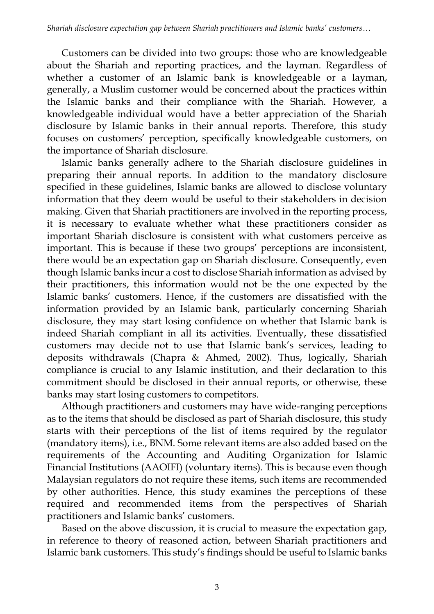Customers can be divided into two groups: those who are knowledgeable about the Shariah and reporting practices, and the layman. Regardless of whether a customer of an Islamic bank is knowledgeable or a layman, generally, a Muslim customer would be concerned about the practices within the Islamic banks and their compliance with the Shariah. However, a knowledgeable individual would have a better appreciation of the Shariah disclosure by Islamic banks in their annual reports. Therefore, this study focuses on customers' perception, specifically knowledgeable customers, on the importance of Shariah disclosure.

Islamic banks generally adhere to the Shariah disclosure guidelines in preparing their annual reports. In addition to the mandatory disclosure specified in these guidelines, Islamic banks are allowed to disclose voluntary information that they deem would be useful to their stakeholders in decision making. Given that Shariah practitioners are involved in the reporting process, it is necessary to evaluate whether what these practitioners consider as important Shariah disclosure is consistent with what customers perceive as important. This is because if these two groups' perceptions are inconsistent, there would be an expectation gap on Shariah disclosure. Consequently, even though Islamic banks incur a cost to disclose Shariah information as advised by their practitioners, this information would not be the one expected by the Islamic banks' customers. Hence, if the customers are dissatisfied with the information provided by an Islamic bank, particularly concerning Shariah disclosure, they may start losing confidence on whether that Islamic bank is indeed Shariah compliant in all its activities. Eventually, these dissatisfied customers may decide not to use that Islamic bank's services, leading to deposits withdrawals (Chapra & Ahmed, 2002). Thus, logically, Shariah compliance is crucial to any Islamic institution, and their declaration to this commitment should be disclosed in their annual reports, or otherwise, these banks may start losing customers to competitors.

Although practitioners and customers may have wide-ranging perceptions as to the items that should be disclosed as part of Shariah disclosure, this study starts with their perceptions of the list of items required by the regulator (mandatory items), i.e., BNM. Some relevant items are also added based on the requirements of the Accounting and Auditing Organization for Islamic Financial Institutions (AAOIFI) (voluntary items). This is because even though Malaysian regulators do not require these items, such items are recommended by other authorities. Hence, this study examines the perceptions of these required and recommended items from the perspectives of Shariah practitioners and Islamic banks' customers.

Based on the above discussion, it is crucial to measure the expectation gap, in reference to theory of reasoned action, between Shariah practitioners and Islamic bank customers. This study's findings should be useful to Islamic banks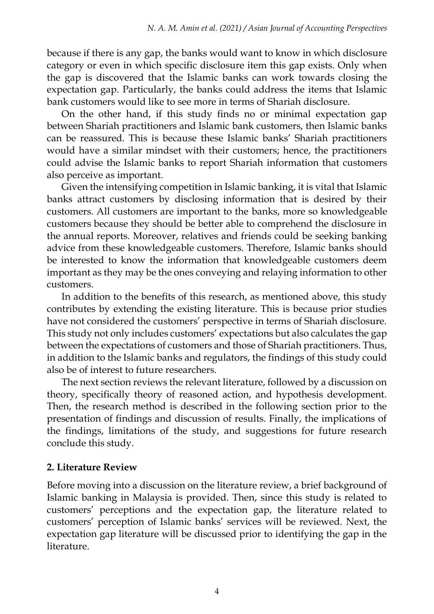because if there is any gap, the banks would want to know in which disclosure category or even in which specific disclosure item this gap exists. Only when the gap is discovered that the Islamic banks can work towards closing the expectation gap. Particularly, the banks could address the items that Islamic bank customers would like to see more in terms of Shariah disclosure.

On the other hand, if this study finds no or minimal expectation gap between Shariah practitioners and Islamic bank customers, then Islamic banks can be reassured. This is because these Islamic banks' Shariah practitioners would have a similar mindset with their customers; hence, the practitioners could advise the Islamic banks to report Shariah information that customers also perceive as important.

Given the intensifying competition in Islamic banking, it is vital that Islamic banks attract customers by disclosing information that is desired by their customers. All customers are important to the banks, more so knowledgeable customers because they should be better able to comprehend the disclosure in the annual reports. Moreover, relatives and friends could be seeking banking advice from these knowledgeable customers. Therefore, Islamic banks should be interested to know the information that knowledgeable customers deem important as they may be the ones conveying and relaying information to other customers.

In addition to the benefits of this research, as mentioned above, this study contributes by extending the existing literature. This is because prior studies have not considered the customers' perspective in terms of Shariah disclosure. This study not only includes customers' expectations but also calculates the gap between the expectations of customers and those of Shariah practitioners. Thus, in addition to the Islamic banks and regulators, the findings of this study could also be of interest to future researchers.

The next section reviews the relevant literature, followed by a discussion on theory, specifically theory of reasoned action, and hypothesis development. Then, the research method is described in the following section prior to the presentation of findings and discussion of results. Finally, the implications of the findings, limitations of the study, and suggestions for future research conclude this study.

# **2. Literature Review**

Before moving into a discussion on the literature review, a brief background of Islamic banking in Malaysia is provided. Then, since this study is related to customers' perceptions and the expectation gap, the literature related to customers' perception of Islamic banks' services will be reviewed. Next, the expectation gap literature will be discussed prior to identifying the gap in the literature.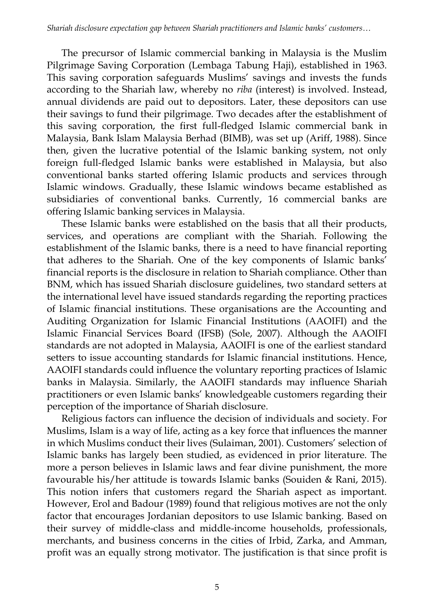The precursor of Islamic commercial banking in Malaysia is the Muslim Pilgrimage Saving Corporation (Lembaga Tabung Haji), established in 1963. This saving corporation safeguards Muslims' savings and invests the funds according to the Shariah law, whereby no *riba* (interest) is involved. Instead, annual dividends are paid out to depositors. Later, these depositors can use their savings to fund their pilgrimage. Two decades after the establishment of this saving corporation, the first full-fledged Islamic commercial bank in Malaysia, Bank Islam Malaysia Berhad (BIMB), was set up (Ariff, 1988). Since then, given the lucrative potential of the Islamic banking system, not only foreign full-fledged Islamic banks were established in Malaysia, but also conventional banks started offering Islamic products and services through Islamic windows. Gradually, these Islamic windows became established as subsidiaries of conventional banks. Currently, 16 commercial banks are offering Islamic banking services in Malaysia.

These Islamic banks were established on the basis that all their products, services, and operations are compliant with the Shariah. Following the establishment of the Islamic banks, there is a need to have financial reporting that adheres to the Shariah. One of the key components of Islamic banks' financial reports is the disclosure in relation to Shariah compliance. Other than BNM, which has issued Shariah disclosure guidelines, two standard setters at the international level have issued standards regarding the reporting practices of Islamic financial institutions. These organisations are the Accounting and Auditing Organization for Islamic Financial Institutions (AAOIFI) and the Islamic Financial Services Board (IFSB) (Sole, 2007). Although the AAOIFI standards are not adopted in Malaysia, AAOIFI is one of the earliest standard setters to issue accounting standards for Islamic financial institutions. Hence, AAOIFI standards could influence the voluntary reporting practices of Islamic banks in Malaysia. Similarly, the AAOIFI standards may influence Shariah practitioners or even Islamic banks' knowledgeable customers regarding their perception of the importance of Shariah disclosure.

Religious factors can influence the decision of individuals and society. For Muslims, Islam is a way of life, acting as a key force that influences the manner in which Muslims conduct their lives (Sulaiman, 2001). Customers' selection of Islamic banks has largely been studied, as evidenced in prior literature. The more a person believes in Islamic laws and fear divine punishment, the more favourable his/her attitude is towards Islamic banks (Souiden & Rani, 2015). This notion infers that customers regard the Shariah aspect as important. However, Erol and Badour (1989) found that religious motives are not the only factor that encourages Jordanian depositors to use Islamic banking. Based on their survey of middle-class and middle-income households, professionals, merchants, and business concerns in the cities of Irbid, Zarka, and Amman, profit was an equally strong motivator. The justification is that since profit is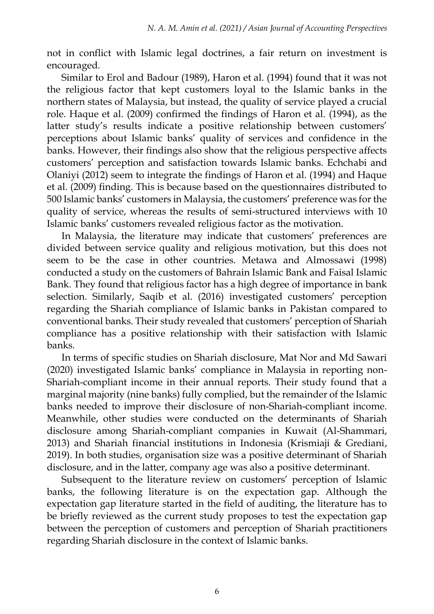not in conflict with Islamic legal doctrines, a fair return on investment is encouraged.

Similar to Erol and Badour (1989), Haron et al. (1994) found that it was not the religious factor that kept customers loyal to the Islamic banks in the northern states of Malaysia, but instead, the quality of service played a crucial role. Haque et al. (2009) confirmed the findings of Haron et al. (1994), as the latter study's results indicate a positive relationship between customers' perceptions about Islamic banks' quality of services and confidence in the banks. However, their findings also show that the religious perspective affects customers' perception and satisfaction towards Islamic banks. Echchabi and Olaniyi (2012) seem to integrate the findings of Haron et al. (1994) and Haque et al. (2009) finding. This is because based on the questionnaires distributed to 500 Islamic banks' customers in Malaysia, the customers' preference was for the quality of service, whereas the results of semi-structured interviews with 10 Islamic banks' customers revealed religious factor as the motivation.

In Malaysia, the literature may indicate that customers' preferences are divided between service quality and religious motivation, but this does not seem to be the case in other countries. Metawa and Almossawi (1998) conducted a study on the customers of Bahrain Islamic Bank and Faisal Islamic Bank. They found that religious factor has a high degree of importance in bank selection. Similarly, Saqib et al. (2016) investigated customers' perception regarding the Shariah compliance of Islamic banks in Pakistan compared to conventional banks. Their study revealed that customers' perception of Shariah compliance has a positive relationship with their satisfaction with Islamic banks.

In terms of specific studies on Shariah disclosure, Mat Nor and Md Sawari (2020) investigated Islamic banks' compliance in Malaysia in reporting non-Shariah-compliant income in their annual reports. Their study found that a marginal majority (nine banks) fully complied, but the remainder of the Islamic banks needed to improve their disclosure of non-Shariah-compliant income. Meanwhile, other studies were conducted on the determinants of Shariah disclosure among Shariah-compliant companies in Kuwait (Al-Shammari, 2013) and Shariah financial institutions in Indonesia (Krismiaji & Grediani, 2019). In both studies, organisation size was a positive determinant of Shariah disclosure, and in the latter, company age was also a positive determinant.

Subsequent to the literature review on customers' perception of Islamic banks, the following literature is on the expectation gap. Although the expectation gap literature started in the field of auditing, the literature has to be briefly reviewed as the current study proposes to test the expectation gap between the perception of customers and perception of Shariah practitioners regarding Shariah disclosure in the context of Islamic banks.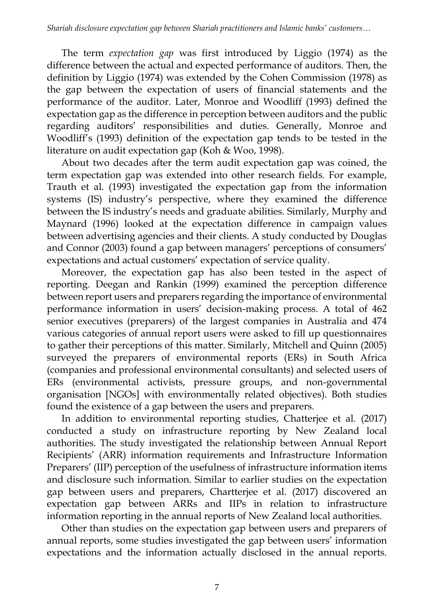The term *expectation gap* was first introduced by Liggio (1974) as the difference between the actual and expected performance of auditors. Then, the definition by Liggio (1974) was extended by the Cohen Commission (1978) as the gap between the expectation of users of financial statements and the performance of the auditor. Later, Monroe and Woodliff (1993) defined the expectation gap as the difference in perception between auditors and the public regarding auditors' responsibilities and duties. Generally, Monroe and Woodliff's (1993) definition of the expectation gap tends to be tested in the literature on audit expectation gap (Koh & Woo, 1998).

About two decades after the term audit expectation gap was coined, the term expectation gap was extended into other research fields. For example, Trauth et al. (1993) investigated the expectation gap from the information systems (IS) industry's perspective, where they examined the difference between the IS industry's needs and graduate abilities. Similarly, Murphy and Maynard (1996) looked at the expectation difference in campaign values between advertising agencies and their clients. A study conducted by Douglas and Connor (2003) found a gap between managers' perceptions of consumers' expectations and actual customers' expectation of service quality.

Moreover, the expectation gap has also been tested in the aspect of reporting. Deegan and Rankin (1999) examined the perception difference between report users and preparers regarding the importance of environmental performance information in users' decision-making process. A total of 462 senior executives (preparers) of the largest companies in Australia and 474 various categories of annual report users were asked to fill up questionnaires to gather their perceptions of this matter. Similarly, Mitchell and Quinn (2005) surveyed the preparers of environmental reports (ERs) in South Africa (companies and professional environmental consultants) and selected users of ERs (environmental activists, pressure groups, and non-governmental organisation [NGOs] with environmentally related objectives). Both studies found the existence of a gap between the users and preparers.

In addition to environmental reporting studies, Chatterjee et al. (2017) conducted a study on infrastructure reporting by New Zealand local authorities. The study investigated the relationship between Annual Report Recipients' (ARR) information requirements and Infrastructure Information Preparers' (IIP) perception of the usefulness of infrastructure information items and disclosure such information. Similar to earlier studies on the expectation gap between users and preparers, Chartterjee et al. (2017) discovered an expectation gap between ARRs and IIPs in relation to infrastructure information reporting in the annual reports of New Zealand local authorities.

Other than studies on the expectation gap between users and preparers of annual reports, some studies investigated the gap between users' information expectations and the information actually disclosed in the annual reports.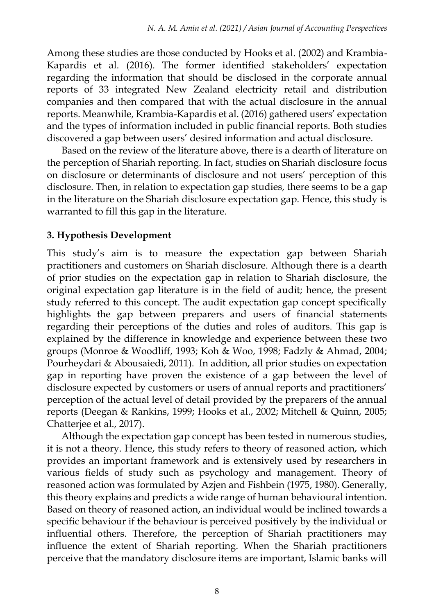Among these studies are those conducted by Hooks et al. (2002) and Krambia-Kapardis et al. (2016). The former identified stakeholders' expectation regarding the information that should be disclosed in the corporate annual reports of 33 integrated New Zealand electricity retail and distribution companies and then compared that with the actual disclosure in the annual reports. Meanwhile, Krambia-Kapardis et al. (2016) gathered users' expectation and the types of information included in public financial reports. Both studies discovered a gap between users' desired information and actual disclosure.

Based on the review of the literature above, there is a dearth of literature on the perception of Shariah reporting. In fact, studies on Shariah disclosure focus on disclosure or determinants of disclosure and not users' perception of this disclosure. Then, in relation to expectation gap studies, there seems to be a gap in the literature on the Shariah disclosure expectation gap. Hence, this study is warranted to fill this gap in the literature.

# **3. Hypothesis Development**

This study's aim is to measure the expectation gap between Shariah practitioners and customers on Shariah disclosure. Although there is a dearth of prior studies on the expectation gap in relation to Shariah disclosure, the original expectation gap literature is in the field of audit; hence, the present study referred to this concept. The audit expectation gap concept specifically highlights the gap between preparers and users of financial statements regarding their perceptions of the duties and roles of auditors. This gap is explained by the difference in knowledge and experience between these two groups (Monroe & Woodliff, 1993; Koh & Woo, 1998; Fadzly & Ahmad, 2004; Pourheydari & Abousaiedi, 2011). In addition, all prior studies on expectation gap in reporting have proven the existence of a gap between the level of disclosure expected by customers or users of annual reports and practitioners' perception of the actual level of detail provided by the preparers of the annual reports (Deegan & Rankins, 1999; Hooks et al., 2002; Mitchell & Quinn, 2005; Chatterjee et al., 2017).

Although the expectation gap concept has been tested in numerous studies, it is not a theory. Hence, this study refers to theory of reasoned action, which provides an important framework and is extensively used by researchers in various fields of study such as psychology and management. Theory of reasoned action was formulated by Azjen and Fishbein (1975, 1980). Generally, this theory explains and predicts a wide range of human behavioural intention. Based on theory of reasoned action, an individual would be inclined towards a specific behaviour if the behaviour is perceived positively by the individual or influential others. Therefore, the perception of Shariah practitioners may influence the extent of Shariah reporting. When the Shariah practitioners perceive that the mandatory disclosure items are important, Islamic banks will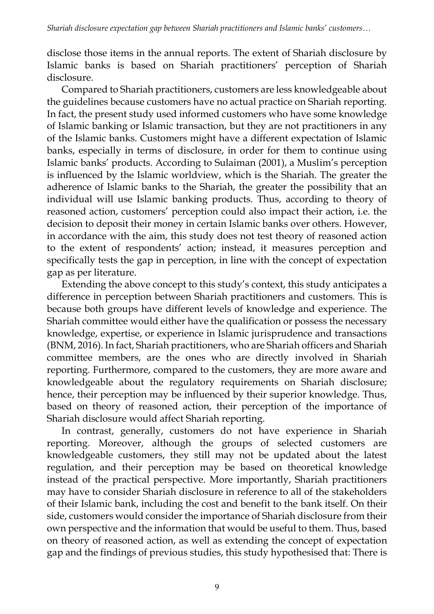disclose those items in the annual reports. The extent of Shariah disclosure by Islamic banks is based on Shariah practitioners' perception of Shariah disclosure.

Compared to Shariah practitioners, customers are less knowledgeable about the guidelines because customers have no actual practice on Shariah reporting. In fact, the present study used informed customers who have some knowledge of Islamic banking or Islamic transaction, but they are not practitioners in any of the Islamic banks. Customers might have a different expectation of Islamic banks, especially in terms of disclosure, in order for them to continue using Islamic banks' products. According to Sulaiman (2001), a Muslim's perception is influenced by the Islamic worldview, which is the Shariah. The greater the adherence of Islamic banks to the Shariah, the greater the possibility that an individual will use Islamic banking products. Thus, according to theory of reasoned action, customers' perception could also impact their action, i.e. the decision to deposit their money in certain Islamic banks over others. However, in accordance with the aim, this study does not test theory of reasoned action to the extent of respondents' action; instead, it measures perception and specifically tests the gap in perception, in line with the concept of expectation gap as per literature.

Extending the above concept to this study's context, this study anticipates a difference in perception between Shariah practitioners and customers. This is because both groups have different levels of knowledge and experience. The Shariah committee would either have the qualification or possess the necessary knowledge, expertise, or experience in Islamic jurisprudence and transactions (BNM, 2016). In fact, Shariah practitioners, who are Shariah officers and Shariah committee members, are the ones who are directly involved in Shariah reporting. Furthermore, compared to the customers, they are more aware and knowledgeable about the regulatory requirements on Shariah disclosure; hence, their perception may be influenced by their superior knowledge. Thus, based on theory of reasoned action, their perception of the importance of Shariah disclosure would affect Shariah reporting.

In contrast, generally, customers do not have experience in Shariah reporting. Moreover, although the groups of selected customers are knowledgeable customers, they still may not be updated about the latest regulation, and their perception may be based on theoretical knowledge instead of the practical perspective. More importantly, Shariah practitioners may have to consider Shariah disclosure in reference to all of the stakeholders of their Islamic bank, including the cost and benefit to the bank itself. On their side, customers would consider the importance of Shariah disclosure from their own perspective and the information that would be useful to them. Thus, based on theory of reasoned action, as well as extending the concept of expectation gap and the findings of previous studies, this study hypothesised that: There is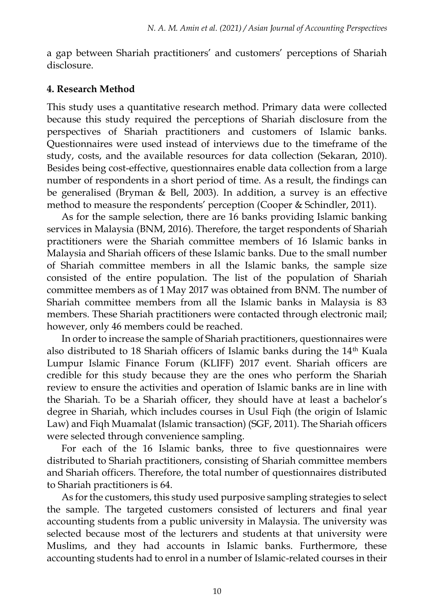a gap between Shariah practitioners' and customers' perceptions of Shariah disclosure.

### **4. Research Method**

This study uses a quantitative research method. Primary data were collected because this study required the perceptions of Shariah disclosure from the perspectives of Shariah practitioners and customers of Islamic banks. Questionnaires were used instead of interviews due to the timeframe of the study, costs, and the available resources for data collection (Sekaran, 2010). Besides being cost-effective, questionnaires enable data collection from a large number of respondents in a short period of time. As a result, the findings can be generalised (Bryman & Bell, 2003). In addition, a survey is an effective method to measure the respondents' perception (Cooper & Schindler, 2011).

As for the sample selection, there are 16 banks providing Islamic banking services in Malaysia (BNM, 2016). Therefore, the target respondents of Shariah practitioners were the Shariah committee members of 16 Islamic banks in Malaysia and Shariah officers of these Islamic banks. Due to the small number of Shariah committee members in all the Islamic banks, the sample size consisted of the entire population. The list of the population of Shariah committee members as of 1 May 2017 was obtained from BNM. The number of Shariah committee members from all the Islamic banks in Malaysia is 83 members. These Shariah practitioners were contacted through electronic mail; however, only 46 members could be reached.

In order to increase the sample of Shariah practitioners, questionnaires were also distributed to 18 Shariah officers of Islamic banks during the 14<sup>th</sup> Kuala Lumpur Islamic Finance Forum (KLIFF) 2017 event. Shariah officers are credible for this study because they are the ones who perform the Shariah review to ensure the activities and operation of Islamic banks are in line with the Shariah. To be a Shariah officer, they should have at least a bachelor's degree in Shariah, which includes courses in Usul Fiqh (the origin of Islamic Law) and Fiqh Muamalat (Islamic transaction) (SGF, 2011). The Shariah officers were selected through convenience sampling.

For each of the 16 Islamic banks, three to five questionnaires were distributed to Shariah practitioners, consisting of Shariah committee members and Shariah officers. Therefore, the total number of questionnaires distributed to Shariah practitioners is 64.

As for the customers, this study used purposive sampling strategies to select the sample. The targeted customers consisted of lecturers and final year accounting students from a public university in Malaysia. The university was selected because most of the lecturers and students at that university were Muslims, and they had accounts in Islamic banks. Furthermore, these accounting students had to enrol in a number of Islamic-related courses in their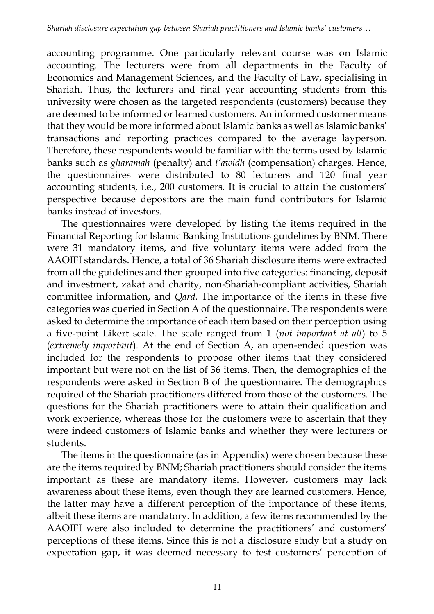accounting programme. One particularly relevant course was on Islamic accounting. The lecturers were from all departments in the Faculty of Economics and Management Sciences, and the Faculty of Law, specialising in Shariah. Thus, the lecturers and final year accounting students from this university were chosen as the targeted respondents (customers) because they are deemed to be informed or learned customers. An informed customer means that they would be more informed about Islamic banks as well as Islamic banks' transactions and reporting practices compared to the average layperson. Therefore, these respondents would be familiar with the terms used by Islamic banks such as *gharamah* (penalty) and *t'awidh* (compensation) charges. Hence, the questionnaires were distributed to 80 lecturers and 120 final year accounting students, i.e., 200 customers. It is crucial to attain the customers' perspective because depositors are the main fund contributors for Islamic banks instead of investors.

The questionnaires were developed by listing the items required in the Financial Reporting for Islamic Banking Institutions guidelines by BNM. There were 31 mandatory items, and five voluntary items were added from the AAOIFI standards. Hence, a total of 36 Shariah disclosure items were extracted from all the guidelines and then grouped into five categories: financing, deposit and investment, zakat and charity, non-Shariah-compliant activities, Shariah committee information, and *Qard.* The importance of the items in these five categories was queried in Section A of the questionnaire. The respondents were asked to determine the importance of each item based on their perception using a five-point Likert scale. The scale ranged from 1 (*not important at all*) to 5 (*extremely important*). At the end of Section A, an open-ended question was included for the respondents to propose other items that they considered important but were not on the list of 36 items. Then, the demographics of the respondents were asked in Section B of the questionnaire. The demographics required of the Shariah practitioners differed from those of the customers. The questions for the Shariah practitioners were to attain their qualification and work experience, whereas those for the customers were to ascertain that they were indeed customers of Islamic banks and whether they were lecturers or students.

The items in the questionnaire (as in Appendix) were chosen because these are the items required by BNM; Shariah practitioners should consider the items important as these are mandatory items. However, customers may lack awareness about these items, even though they are learned customers. Hence, the latter may have a different perception of the importance of these items, albeit these items are mandatory. In addition, a few items recommended by the AAOIFI were also included to determine the practitioners' and customers' perceptions of these items. Since this is not a disclosure study but a study on expectation gap, it was deemed necessary to test customers' perception of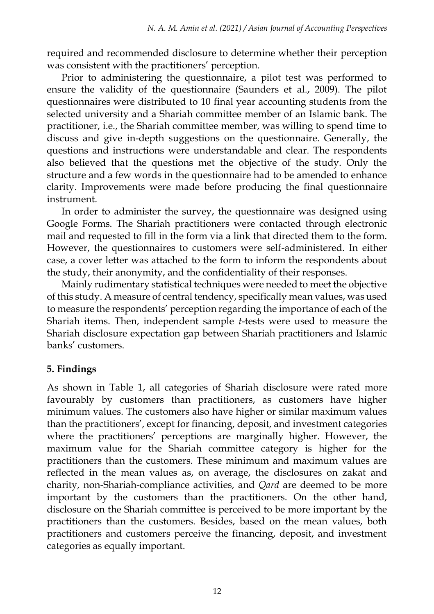required and recommended disclosure to determine whether their perception was consistent with the practitioners' perception.

Prior to administering the questionnaire, a pilot test was performed to ensure the validity of the questionnaire (Saunders et al., 2009). The pilot questionnaires were distributed to 10 final year accounting students from the selected university and a Shariah committee member of an Islamic bank. The practitioner, i.e., the Shariah committee member, was willing to spend time to discuss and give in-depth suggestions on the questionnaire. Generally, the questions and instructions were understandable and clear. The respondents also believed that the questions met the objective of the study. Only the structure and a few words in the questionnaire had to be amended to enhance clarity. Improvements were made before producing the final questionnaire instrument.

In order to administer the survey, the questionnaire was designed using Google Forms. The Shariah practitioners were contacted through electronic mail and requested to fill in the form via a link that directed them to the form. However, the questionnaires to customers were self-administered. In either case, a cover letter was attached to the form to inform the respondents about the study, their anonymity, and the confidentiality of their responses.

Mainly rudimentary statistical techniques were needed to meet the objective of this study. A measure of central tendency, specifically mean values, was used to measure the respondents' perception regarding the importance of each of the Shariah items. Then, independent sample *t*-tests were used to measure the Shariah disclosure expectation gap between Shariah practitioners and Islamic banks' customers.

# **5. Findings**

As shown in Table 1, all categories of Shariah disclosure were rated more favourably by customers than practitioners, as customers have higher minimum values. The customers also have higher or similar maximum values than the practitioners', except for financing, deposit, and investment categories where the practitioners' perceptions are marginally higher. However, the maximum value for the Shariah committee category is higher for the practitioners than the customers. These minimum and maximum values are reflected in the mean values as, on average, the disclosures on zakat and charity, non-Shariah-compliance activities, and *Qard* are deemed to be more important by the customers than the practitioners. On the other hand, disclosure on the Shariah committee is perceived to be more important by the practitioners than the customers. Besides, based on the mean values, both practitioners and customers perceive the financing, deposit, and investment categories as equally important.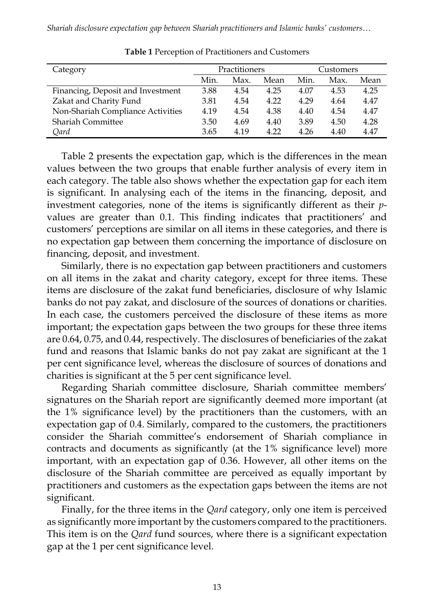*Shariah disclosure expectation gap between Shariah practitioners and Islamic banks' customers…*

| Category                          |      | Practitioners |      | Customers |      |      |
|-----------------------------------|------|---------------|------|-----------|------|------|
|                                   | Min. | Max.          | Mean | Min.      | Max. | Mean |
| Financing, Deposit and Investment | 3.88 | 4.54          | 4.25 | 4.07      | 4.53 | 4.25 |
| Zakat and Charity Fund            | 3.81 | 4.54          | 4.22 | 4.29      | 4.64 | 4.47 |
| Non-Shariah Compliance Activities | 4.19 | 4.54          | 4.38 | 4.40      | 4.54 | 4.47 |
| <b>Shariah Committee</b>          | 3.50 | 4.69          | 4.40 | 3.89      | 4.50 | 4.28 |
| Qard                              | 3.65 | 4.19          | 4.22 | 4.26      | 4.40 | 4.47 |

**Table 1** Perception of Practitioners and Customers

Table 2 presents the expectation gap, which is the differences in the mean values between the two groups that enable further analysis of every item in each category. The table also shows whether the expectation gap for each item is significant. In analysing each of the items in the financing, deposit, and investment categories, none of the items is significantly different as their *p*values are greater than 0.1. This finding indicates that practitioners' and customers' perceptions are similar on all items in these categories, and there is no expectation gap between them concerning the importance of disclosure on financing, deposit, and investment.

Similarly, there is no expectation gap between practitioners and customers on all items in the zakat and charity category, except for three items. These items are disclosure of the zakat fund beneficiaries, disclosure of why Islamic banks do not pay zakat, and disclosure of the sources of donations or charities. In each case, the customers perceived the disclosure of these items as more important; the expectation gaps between the two groups for these three items are 0.64, 0.75, and 0.44, respectively. The disclosures of beneficiaries of the zakat fund and reasons that Islamic banks do not pay zakat are significant at the 1 per cent significance level, whereas the disclosure of sources of donations and charities is significant at the 5 per cent significance level.

Regarding Shariah committee disclosure, Shariah committee members' signatures on the Shariah report are significantly deemed more important (at the 1% significance level) by the practitioners than the customers, with an expectation gap of 0.4. Similarly, compared to the customers, the practitioners consider the Shariah committee's endorsement of Shariah compliance in contracts and documents as significantly (at the 1% significance level) more important, with an expectation gap of 0.36. However, all other items on the disclosure of the Shariah committee are perceived as equally important by practitioners and customers as the expectation gaps between the items are not significant.

Finally, for the three items in the *Qard* category, only one item is perceived as significantly more important by the customers compared to the practitioners. This item is on the *Qard* fund sources, where there is a significant expectation gap at the 1 per cent significance level.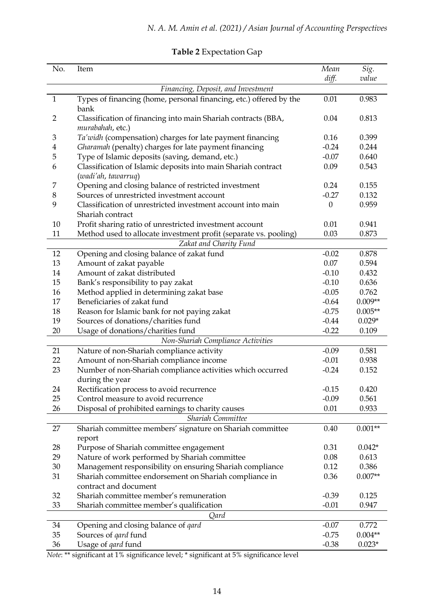| No.      | Item                                                                                     | Mean         | Sig.      |  |  |  |  |
|----------|------------------------------------------------------------------------------------------|--------------|-----------|--|--|--|--|
|          |                                                                                          | diff.        | value     |  |  |  |  |
|          | Financing, Deposit, and Investment                                                       |              |           |  |  |  |  |
| 1        | Types of financing (home, personal financing, etc.) offered by the<br>bank               | 0.01         | 0.983     |  |  |  |  |
| 2        | Classification of financing into main Shariah contracts (BBA,<br>murabahah, etc.)        | 0.04         | 0.813     |  |  |  |  |
| 3        | Ta'widh (compensation) charges for late payment financing                                | 0.16         | 0.399     |  |  |  |  |
| 4        | Gharamah (penalty) charges for late payment financing                                    | $-0.24$      | 0.244     |  |  |  |  |
| 5        | Type of Islamic deposits (saving, demand, etc.)                                          | $-0.07$      | 0.640     |  |  |  |  |
| 6        | Classification of Islamic deposits into main Shariah contract                            | 0.09         | 0.543     |  |  |  |  |
|          | (wadi'ah, tawarruq)                                                                      |              |           |  |  |  |  |
| 7        | Opening and closing balance of restricted investment                                     | 0.24         | 0.155     |  |  |  |  |
| 8        | Sources of unrestricted investment account                                               | $-0.27$      | 0.132     |  |  |  |  |
| 9        | Classification of unrestricted investment account into main                              | $\mathbf{0}$ | 0.959     |  |  |  |  |
|          | Shariah contract                                                                         |              |           |  |  |  |  |
| 10       | Profit sharing ratio of unrestricted investment account                                  | 0.01         | 0.941     |  |  |  |  |
| 11       | Method used to allocate investment profit (separate vs. pooling)                         | 0.03         | 0.873     |  |  |  |  |
|          | Zakat and Charity Fund                                                                   |              |           |  |  |  |  |
| 12       | Opening and closing balance of zakat fund                                                | $-0.02$      | 0.878     |  |  |  |  |
| 13       | Amount of zakat payable                                                                  | 0.07         | 0.594     |  |  |  |  |
| 14       | Amount of zakat distributed                                                              | $-0.10$      | 0.432     |  |  |  |  |
| 15       | Bank's responsibility to pay zakat                                                       | $-0.10$      | 0.636     |  |  |  |  |
| 16       | Method applied in determining zakat base                                                 | $-0.05$      | 0.762     |  |  |  |  |
| 17       | Beneficiaries of zakat fund                                                              | $-0.64$      | $0.009**$ |  |  |  |  |
| 18       | Reason for Islamic bank for not paying zakat                                             | $-0.75$      | $0.005**$ |  |  |  |  |
| 19       | Sources of donations/charities fund                                                      | $-0.44$      | $0.029*$  |  |  |  |  |
| 20       | Usage of donations/charities fund                                                        | $-0.22$      | 0.109     |  |  |  |  |
|          | Non-Shariah Compliance Activities                                                        |              |           |  |  |  |  |
| 21       | Nature of non-Shariah compliance activity                                                | $-0.09$      | 0.581     |  |  |  |  |
| 22       | Amount of non-Shariah compliance income                                                  | $-0.01$      | 0.938     |  |  |  |  |
| 23       | Number of non-Shariah compliance activities which occurred                               | $-0.24$      | 0.152     |  |  |  |  |
|          | during the year                                                                          |              |           |  |  |  |  |
| 24       | Rectification process to avoid recurrence                                                | $-0.15$      | 0.420     |  |  |  |  |
| 25       | Control measure to avoid recurrence                                                      | $-0.09$      | 0.561     |  |  |  |  |
| 26       | Disposal of prohibited earnings to charity causes                                        | 0.01         | 0.933     |  |  |  |  |
|          | Shariah Committee                                                                        |              |           |  |  |  |  |
| 27       | Shariah committee members' signature on Shariah committee                                | 0.40         | $0.001**$ |  |  |  |  |
|          | report                                                                                   | 0.31         | $0.042*$  |  |  |  |  |
| 28<br>29 | Purpose of Shariah committee engagement<br>Nature of work performed by Shariah committee | 0.08         | 0.613     |  |  |  |  |
| 30       | Management responsibility on ensuring Shariah compliance                                 | 0.12         | 0.386     |  |  |  |  |
| 31       | Shariah committee endorsement on Shariah compliance in                                   | 0.36         | $0.007**$ |  |  |  |  |
|          | contract and document                                                                    |              |           |  |  |  |  |
| 32       | Shariah committee member's remuneration                                                  | $-0.39$      | 0.125     |  |  |  |  |
| 33       | Shariah committee member's qualification                                                 | -0.01        | 0.947     |  |  |  |  |
|          | Qard                                                                                     |              |           |  |  |  |  |
| 34       | Opening and closing balance of <i>qard</i>                                               | $-0.07$      | 0.772     |  |  |  |  |
| 35       | Sources of <i>gard</i> fund                                                              | $-0.75$      | $0.004**$ |  |  |  |  |
| 36       | Usage of qard fund                                                                       | $-0.38$      | $0.023*$  |  |  |  |  |

# **Table 2** Expectation Gap

*Note*: \*\* significant at 1% significance level; \* significant at 5% significance level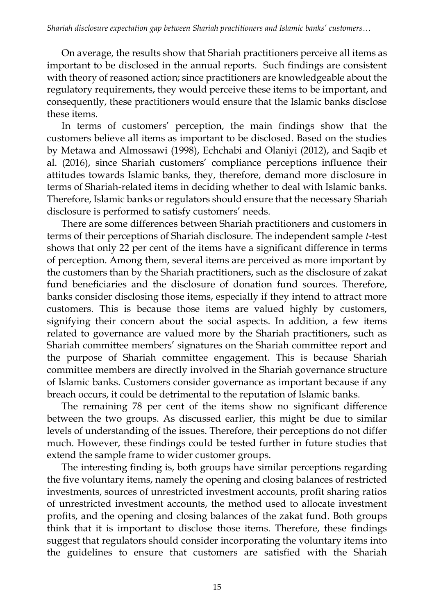On average, the results show that Shariah practitioners perceive all items as important to be disclosed in the annual reports. Such findings are consistent with theory of reasoned action; since practitioners are knowledgeable about the regulatory requirements, they would perceive these items to be important, and consequently, these practitioners would ensure that the Islamic banks disclose these items.

In terms of customers' perception, the main findings show that the customers believe all items as important to be disclosed. Based on the studies by Metawa and Almossawi (1998), Echchabi and Olaniyi (2012), and Saqib et al. (2016), since Shariah customers' compliance perceptions influence their attitudes towards Islamic banks, they, therefore, demand more disclosure in terms of Shariah-related items in deciding whether to deal with Islamic banks. Therefore, Islamic banks or regulators should ensure that the necessary Shariah disclosure is performed to satisfy customers' needs.

There are some differences between Shariah practitioners and customers in terms of their perceptions of Shariah disclosure. The independent sample *t*-test shows that only 22 per cent of the items have a significant difference in terms of perception. Among them, several items are perceived as more important by the customers than by the Shariah practitioners, such as the disclosure of zakat fund beneficiaries and the disclosure of donation fund sources. Therefore, banks consider disclosing those items, especially if they intend to attract more customers. This is because those items are valued highly by customers, signifying their concern about the social aspects. In addition, a few items related to governance are valued more by the Shariah practitioners, such as Shariah committee members' signatures on the Shariah committee report and the purpose of Shariah committee engagement. This is because Shariah committee members are directly involved in the Shariah governance structure of Islamic banks. Customers consider governance as important because if any breach occurs, it could be detrimental to the reputation of Islamic banks.

The remaining 78 per cent of the items show no significant difference between the two groups. As discussed earlier, this might be due to similar levels of understanding of the issues. Therefore, their perceptions do not differ much. However, these findings could be tested further in future studies that extend the sample frame to wider customer groups.

The interesting finding is, both groups have similar perceptions regarding the five voluntary items, namely the opening and closing balances of restricted investments, sources of unrestricted investment accounts, profit sharing ratios of unrestricted investment accounts, the method used to allocate investment profits, and the opening and closing balances of the zakat fund. Both groups think that it is important to disclose those items. Therefore, these findings suggest that regulators should consider incorporating the voluntary items into the guidelines to ensure that customers are satisfied with the Shariah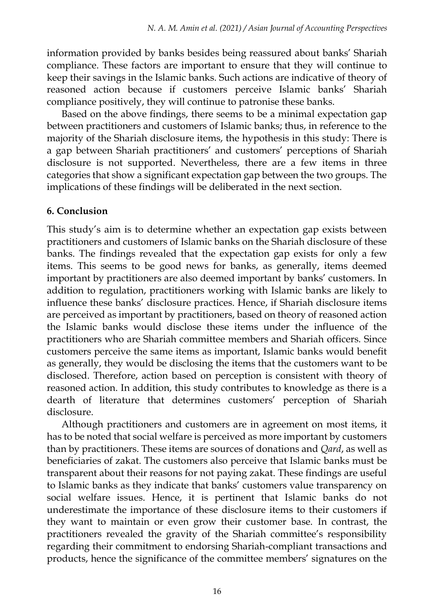information provided by banks besides being reassured about banks' Shariah compliance. These factors are important to ensure that they will continue to keep their savings in the Islamic banks. Such actions are indicative of theory of reasoned action because if customers perceive Islamic banks' Shariah compliance positively, they will continue to patronise these banks.

Based on the above findings, there seems to be a minimal expectation gap between practitioners and customers of Islamic banks; thus, in reference to the majority of the Shariah disclosure items, the hypothesis in this study: There is a gap between Shariah practitioners' and customers' perceptions of Shariah disclosure is not supported. Nevertheless, there are a few items in three categories that show a significant expectation gap between the two groups. The implications of these findings will be deliberated in the next section.

# **6. Conclusion**

This study's aim is to determine whether an expectation gap exists between practitioners and customers of Islamic banks on the Shariah disclosure of these banks. The findings revealed that the expectation gap exists for only a few items. This seems to be good news for banks, as generally, items deemed important by practitioners are also deemed important by banks' customers. In addition to regulation, practitioners working with Islamic banks are likely to influence these banks' disclosure practices. Hence, if Shariah disclosure items are perceived as important by practitioners, based on theory of reasoned action the Islamic banks would disclose these items under the influence of the practitioners who are Shariah committee members and Shariah officers. Since customers perceive the same items as important, Islamic banks would benefit as generally, they would be disclosing the items that the customers want to be disclosed. Therefore, action based on perception is consistent with theory of reasoned action. In addition, this study contributes to knowledge as there is a dearth of literature that determines customers' perception of Shariah disclosure.

Although practitioners and customers are in agreement on most items, it has to be noted that social welfare is perceived as more important by customers than by practitioners. These items are sources of donations and *Qard*, as well as beneficiaries of zakat. The customers also perceive that Islamic banks must be transparent about their reasons for not paying zakat. These findings are useful to Islamic banks as they indicate that banks' customers value transparency on social welfare issues. Hence, it is pertinent that Islamic banks do not underestimate the importance of these disclosure items to their customers if they want to maintain or even grow their customer base. In contrast, the practitioners revealed the gravity of the Shariah committee's responsibility regarding their commitment to endorsing Shariah-compliant transactions and products, hence the significance of the committee members' signatures on the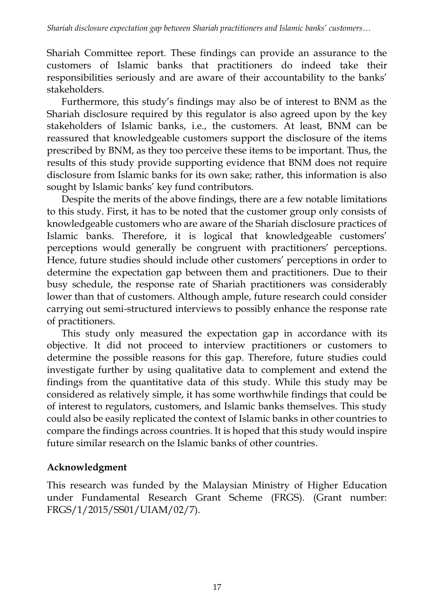Shariah Committee report. These findings can provide an assurance to the customers of Islamic banks that practitioners do indeed take their responsibilities seriously and are aware of their accountability to the banks' stakeholders.

Furthermore, this study's findings may also be of interest to BNM as the Shariah disclosure required by this regulator is also agreed upon by the key stakeholders of Islamic banks, i.e., the customers. At least, BNM can be reassured that knowledgeable customers support the disclosure of the items prescribed by BNM, as they too perceive these items to be important. Thus, the results of this study provide supporting evidence that BNM does not require disclosure from Islamic banks for its own sake; rather, this information is also sought by Islamic banks' key fund contributors.

Despite the merits of the above findings, there are a few notable limitations to this study. First, it has to be noted that the customer group only consists of knowledgeable customers who are aware of the Shariah disclosure practices of Islamic banks. Therefore, it is logical that knowledgeable customers' perceptions would generally be congruent with practitioners' perceptions. Hence, future studies should include other customers' perceptions in order to determine the expectation gap between them and practitioners. Due to their busy schedule, the response rate of Shariah practitioners was considerably lower than that of customers. Although ample, future research could consider carrying out semi-structured interviews to possibly enhance the response rate of practitioners.

This study only measured the expectation gap in accordance with its objective. It did not proceed to interview practitioners or customers to determine the possible reasons for this gap. Therefore, future studies could investigate further by using qualitative data to complement and extend the findings from the quantitative data of this study. While this study may be considered as relatively simple, it has some worthwhile findings that could be of interest to regulators, customers, and Islamic banks themselves. This study could also be easily replicated the context of Islamic banks in other countries to compare the findings across countries. It is hoped that this study would inspire future similar research on the Islamic banks of other countries.

# **Acknowledgment**

This research was funded by the Malaysian Ministry of Higher Education under Fundamental Research Grant Scheme (FRGS). (Grant number: FRGS/1/2015/SS01/UIAM/02/7).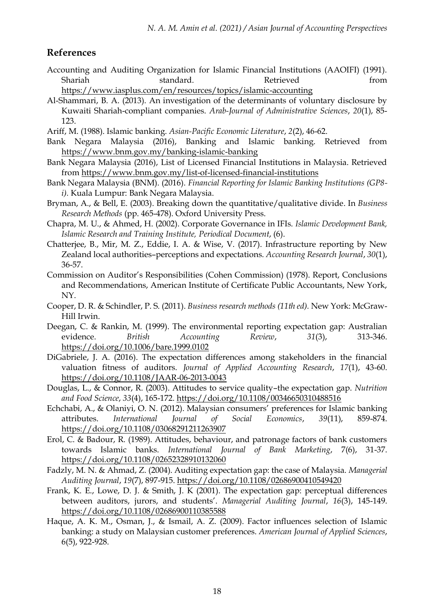### **References**

- Accounting and Auditing Organization for Islamic Financial Institutions (AAOIFI) (1991). Shariah standard. Retrieved from <https://www.iasplus.com/en/resources/topics/islamic-accounting>
- Al-Shammari, B. A. (2013). An investigation of the determinants of voluntary disclosure by Kuwaiti Shariah-compliant companies. *Arab-Journal of Administrative Sciences*, *20*(1), 85- 123.
- Ariff, M. (1988). Islamic banking. *Asian-Pacific Economic Literature*, *2*(2), 46-62.
- Bank Negara Malaysia (2016), Banking and Islamic banking. Retrieved from <https://www.bnm.gov.my/banking-islamic-banking>
- Bank Negara Malaysia (2016), List of Licensed Financial Institutions in Malaysia. Retrieved from<https://www.bnm.gov.my/list-of-licensed-financial-institutions>
- Bank Negara Malaysia (BNM). (2016). *Financial Reporting for Islamic Banking Institutions (GP8 i).* Kuala Lumpur: Bank Negara Malaysia.
- Bryman, A., & Bell, E. (2003). Breaking down the quantitative/qualitative divide. In *Business Research Methods* (pp. 465-478). Oxford University Press.
- Chapra, M. U., & Ahmed, H. (2002). Corporate Governance in IFIs. *Islamic Development Bank, Islamic Research and Training Institute, Periodical Document*, (6).
- Chatterjee, B., Mir, M. Z., Eddie, I. A. & Wise, V. (2017). Infrastructure reporting by New Zealand local authorities–perceptions and expectations. *Accounting Research Journal*, *30*(1), 36-57.
- Commission on Auditor's Responsibilities (Cohen Commission) (1978). Report, Conclusions and Recommendations, American Institute of Certificate Public Accountants, New York, NY.
- Cooper, D. R. & Schindler, P. S. (2011). *Business research methods (11th ed).* New York: McGraw-Hill Irwin.
- Deegan, C. & Rankin, M. (1999). The environmental reporting expectation gap: Australian evidence. *British Accounting Review*, *31*(3), 313-346. <https://doi.org/10.1006/bare.1999.0102>
- DiGabriele, J. A. (2016). The expectation differences among stakeholders in the financial valuation fitness of auditors. *Journal of Applied Accounting Research*, *17*(1), 43-60. <https://doi.org/10.1108/JAAR-06-2013-0043>
- Douglas, L., & Connor, R. (2003). Attitudes to service quality–the expectation gap. *Nutrition and Food Science*, *33*(4), 165-172. <https://doi.org/10.1108/00346650310488516>
- Echchabi, A., & Olaniyi, O. N. (2012). Malaysian consumers' preferences for Islamic banking attributes. *International Journal of Social Economics*, *39*(11), 859-874. <https://doi.org/10.1108/03068291211263907>
- Erol, C. & Badour, R. (1989). Attitudes, behaviour, and patronage factors of bank customers towards Islamic banks. *International Journal of Bank Marketing*, 7(6), 31-37. <https://doi.org/10.1108/02652328910132060>
- Fadzly, M. N. & Ahmad, Z. (2004). Auditing expectation gap: the case of Malaysia. *Managerial Auditing Journal*, *19*(7), 897-915. <https://doi.org/10.1108/02686900410549420>
- Frank, K. E., Lowe, D. J. & Smith, J. K (2001). The expectation gap: perceptual differences between auditors, jurors, and students'. *Managerial Auditing Journal*, *16*(3), 145-149. <https://doi.org/10.1108/02686900110385588>
- Haque, A. K. M., Osman, J., & Ismail, A. Z. (2009). Factor influences selection of Islamic banking: a study on Malaysian customer preferences. *American Journal of Applied Sciences*, 6(5), 922-928.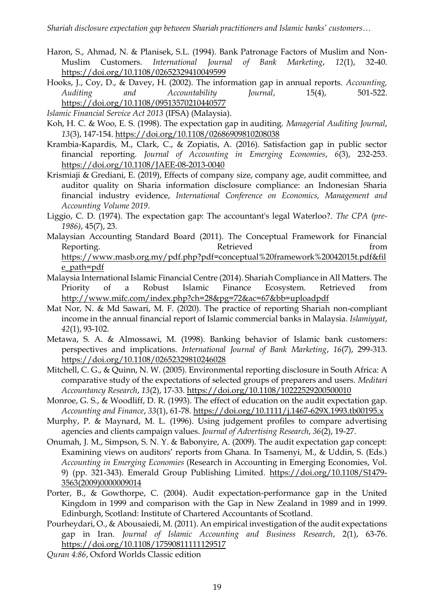- Haron, S., Ahmad, N. & Planisek, S.L. (1994). Bank Patronage Factors of Muslim and Non-Muslim Customers. *International Journal of Bank Marketing*, *12*(1), 32-40. <https://doi.org/10.1108/02652329410049599>
- Hooks, J., Coy, D., & Davey, H. (2002). The information gap in annual reports. *Accounting, Auditing and Accountability Journal*, 15(4), 501-522. <https://doi.org/10.1108/09513570210440577>
- *Islamic Financial Service Act 2013* (IFSA) (Malaysia).
- Koh, H. C. & Woo, E. S. (1998). The expectation gap in auditing. *Managerial Auditing Journal*, *13*(3), 147-154. <https://doi.org/10.1108/02686909810208038>
- Krambia-Kapardis, M., Clark, C., & Zopiatis, A. (2016). Satisfaction gap in public sector financial reporting. *Journal of Accounting in Emerging Economies*, *6*(3), 232-253. <https://doi.org/10.1108/JAEE-08-2013-0040>
- Krismiaji & Grediani, E. (2019), Effects of company size, company age, audit committee, and auditor quality on Sharia information disclosure compliance: an Indonesian Sharia financial industry evidence, *International Conference on Economics, Management and Accounting Volume 2019*.
- Liggio, C. D. (1974). The expectation gap: The accountant's legal Waterloo?. *The CPA (pre-1986)*, 45(7), 23.
- Malaysian Accounting Standard Board (2011). The Conceptual Framework for Financial Reporting. The results of the Retrieved from the set of the set of the set of the set of the set of the set of the set of the set of the set of the set of the set of the set of the set of the set of the set of the set of t [https://www.masb.org.my/pdf.php?pdf=conceptual%20framework%20042015t.pdf&fil](https://www.masb.org.my/pdf.php?pdf=conceptual%20framework%20042015t.pdf&file_path=pdf) [e\\_path=pdf](https://www.masb.org.my/pdf.php?pdf=conceptual%20framework%20042015t.pdf&file_path=pdf)
- Malaysia International Islamic Financial Centre (2014). Shariah Compliance in All Matters. The Priority of a Robust Islamic Finance Ecosystem. Retrieved from <http://www.mifc.com/index.php?ch=28&pg=72&ac=67&bb=uploadpdf>
- Mat Nor, N. & Md Sawari, M. F. (2020). The practice of reporting Shariah non-compliant income in the annual financial report of Islamic commercial banks in Malaysia. *Islamiyyat*, *42*(1), 93-102.
- Metawa, S. A. & Almossawi, M. (1998). Banking behavior of Islamic bank customers: perspectives and implications. *International Journal of Bank Marketing*, *16*(7), 299-313. <https://doi.org/10.1108/02652329810246028>
- Mitchell, C. G., & Quinn, N. W. (2005). Environmental reporting disclosure in South Africa: A comparative study of the expectations of selected groups of preparers and users. *Meditari Accountancy Research*, *13*(2), 17-33. <https://doi.org/10.1108/10222529200500010>
- Monroe, G. S., & Woodliff, D. R. (1993). The effect of education on the audit expectation gap. *Accounting and Finance*, *33*(1), 61-78. <https://doi.org/10.1111/j.1467-629X.1993.tb00195.x>
- Murphy, P. & Maynard, M. L. (1996). Using judgement profiles to compare advertising agencies and clients campaign values. *Journal of Advertising Research*, *36*(2), 19-27.
- Onumah, J. M., Simpson, S. N. Y. & Babonyire, A. (2009). The audit expectation gap concept: Examining views on auditors' reports from Ghana. In Tsamenyi, M., & Uddin, S. (Eds.) *Accounting in Emerging Economies* (Research in Accounting in Emerging Economies, Vol. 9) (pp. 321-343). Emerald Group Publishing Limited. [https://doi.org/10.1108/S1479-](https://doi.org/10.1108/S1479-3563(2009)0000009014) [3563\(2009\)0000009014](https://doi.org/10.1108/S1479-3563(2009)0000009014)
- Porter, B., & Gowthorpe, C. (2004). Audit expectation-performance gap in the United Kingdom in 1999 and comparison with the Gap in New Zealand in 1989 and in 1999. Edinburgh, Scotland: Institute of Chartered Accountants of Scotland.
- Pourheydari, O., & Abousaiedi, M. (2011). An empirical investigation of the audit expectations gap in Iran. *Journal of Islamic Accounting and Business Research*, 2(1), 63-76. <https://doi.org/10.1108/17590811111129517>
- *Quran 4:86*, Oxford Worlds Classic edition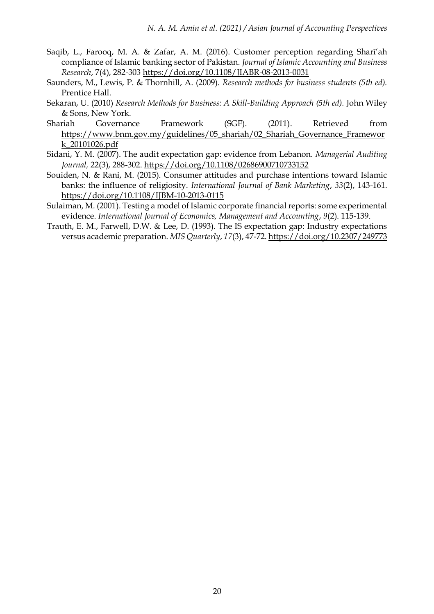- Saqib, L., Farooq, M. A. & Zafar, A. M. (2016). Customer perception regarding Sharī'ah compliance of Islamic banking sector of Pakistan. *Journal of Islamic Accounting and Business Research*, 7(4), 282-303 <https://doi.org/10.1108/JIABR-08-2013-0031>
- Saunders, M., Lewis, P. & Thornhill, A. (2009). *Research methods for business students (5th ed).* Prentice Hall.
- Sekaran, U. (2010) *Research Methods for Business: A Skill-Building Approach (5th ed).* John Wiley & Sons, New York.
- Shariah Governance Framework (SGF). (2011). Retrieved from [https://www.bnm.gov.my/guidelines/05\\_shariah/02\\_Shariah\\_Governance\\_Framewor](https://www.bnm.gov.my/guidelines/05_shariah/02_Shariah_Governance_Framework_20101026.pdf) [k\\_20101026.pdf](https://www.bnm.gov.my/guidelines/05_shariah/02_Shariah_Governance_Framework_20101026.pdf)
- Sidani, Y. M. (2007). The audit expectation gap: evidence from Lebanon. *Managerial Auditing Journal,* 22(3), 288-302. <https://doi.org/10.1108/02686900710733152>
- Souiden, N. & Rani, M. (2015). Consumer attitudes and purchase intentions toward Islamic banks: the influence of religiosity. *International Journal of Bank Marketing*, *33*(2), 143-161. <https://doi.org/10.1108/IJBM-10-2013-0115>
- Sulaiman, M. (2001). Testing a model of Islamic corporate financial reports: some experimental evidence. *International Journal of Economics, Management and Accounting*, *9*(2). 115-139.
- Trauth, E. M., Farwell, D.W. & Lee, D. (1993). The IS expectation gap: Industry expectations versus academic preparation. *MIS Quarterly*, *17*(3), 47-72. <https://doi.org/10.2307/249773>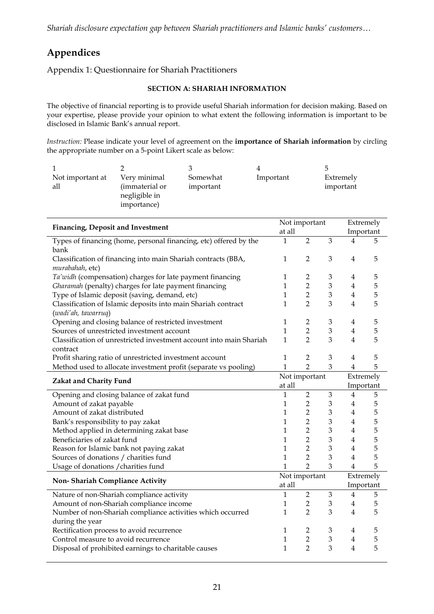*Shariah disclosure expectation gap between Shariah practitioners and Islamic banks' customers…*

# **Appendices**

Appendix 1: Questionnaire for Shariah Practitioners

### **SECTION A: SHARIAH INFORMATION**

The objective of financial reporting is to provide useful Shariah information for decision making. Based on your expertise, please provide your opinion to what extent the following information is important to be disclosed in Islamic Bank's annual report.

*Instruction:* Please indicate your level of agreement on the **importance of Shariah information** by circling the appropriate number on a 5-point Likert scale as below:

| Not important at<br>all | Very minimal<br>(immaterial or<br>negligible in<br>importance) | Somewhat<br>important | Important | Extremely<br>important |
|-------------------------|----------------------------------------------------------------|-----------------------|-----------|------------------------|

| Financing, Deposit and Investment                                                    |                | Not important           |   |                | Extremely              |  |
|--------------------------------------------------------------------------------------|----------------|-------------------------|---|----------------|------------------------|--|
|                                                                                      |                |                         |   |                | Important              |  |
| Types of financing (home, personal financing, etc) offered by the<br>bank            | 1              | $\overline{2}$          | 3 | 4              | 5                      |  |
| Classification of financing into main Shariah contracts (BBA,<br>murabahah, etc)     | 1              | $\overline{2}$          | 3 | 4              | 5                      |  |
| Ta'widh (compensation) charges for late payment financing                            | 1              | $\overline{2}$          | 3 | 4              | 5                      |  |
| Gharamah (penalty) charges for late payment financing                                | 1              | $\overline{2}$          | 3 | $\overline{4}$ | 5                      |  |
| Type of Islamic deposit (saving, demand, etc)                                        | 1              | $\overline{2}$          | 3 | $\overline{4}$ | 5                      |  |
| Classification of Islamic deposits into main Shariah contract<br>(wadi'ah, tawarruq) | 1              | $\overline{2}$          | 3 | $\overline{4}$ | 5                      |  |
| Opening and closing balance of restricted investment                                 | 1              | 2                       | 3 | 4              | 5                      |  |
| Sources of unrestricted investment account                                           | 1              | $\overline{2}$          | 3 | $\overline{4}$ | 5                      |  |
| Classification of unrestricted investment account into main Shariah<br>contract      | 1              | $\mathcal{P}$           | 3 | $\overline{4}$ | 5                      |  |
| Profit sharing ratio of unrestricted investment account                              | 1              | 2                       | 3 | $\overline{4}$ | 5                      |  |
| Method used to allocate investment profit (separate vs pooling)                      | $\overline{1}$ | $\overline{2}$          | 3 | $\overline{4}$ | 5                      |  |
| Zakat and Charity Fund                                                               |                | Not important<br>at all |   |                | Extremely<br>Important |  |
| Opening and closing balance of zakat fund                                            | 1              | $\overline{2}$          | 3 | 4              | 5                      |  |
| Amount of zakat payable                                                              | 1              | $\overline{2}$          | 3 | 4              | 5                      |  |
| Amount of zakat distributed                                                          | $\mathbf{1}$   | $\overline{2}$          | 3 | $\overline{4}$ | 5                      |  |
| Bank's responsibility to pay zakat                                                   | $\mathbf{1}$   | $\overline{2}$          | 3 | $\overline{4}$ | 5                      |  |
| Method applied in determining zakat base                                             | $\mathbf{1}$   | $\overline{2}$          | 3 | $\overline{4}$ | 5                      |  |
| Beneficiaries of zakat fund                                                          | $\mathbf{1}$   | $\overline{2}$          | 3 | $\overline{4}$ | 5                      |  |
| Reason for Islamic bank not paying zakat                                             | $\mathbf{1}$   | $\overline{2}$          | 3 | $\overline{4}$ | 5                      |  |
| Sources of donations / charities fund                                                | 1              | $\overline{2}$          | 3 | $\overline{4}$ | 5                      |  |
| Usage of donations / charities fund                                                  | $\mathbf{1}$   | $\mathcal{P}$           | 3 | $\overline{4}$ | 5                      |  |
|                                                                                      | Not important  |                         |   | Extremely      |                        |  |
| Non-Shariah Compliance Activity                                                      | at all         |                         |   | Important      |                        |  |
| Nature of non-Shariah compliance activity                                            | $\mathbf{1}$   | $\overline{2}$          | 3 | 4              | 5                      |  |
| Amount of non-Shariah compliance income                                              | 1              | $\overline{2}$          | 3 | $\overline{4}$ | 5                      |  |
| Number of non-Shariah compliance activities which occurred                           | 1              | $\overline{2}$          | 3 | $\overline{4}$ | 5                      |  |
| during the year                                                                      |                |                         |   |                |                        |  |
| Rectification process to avoid recurrence                                            | 1              | 2                       | 3 | 4              | 5                      |  |
| Control measure to avoid recurrence                                                  | 1              | $\overline{2}$          | 3 | $\overline{4}$ | 5                      |  |
| Disposal of prohibited earnings to charitable causes                                 | 1              | $\overline{2}$          | 3 | $\overline{4}$ | 5                      |  |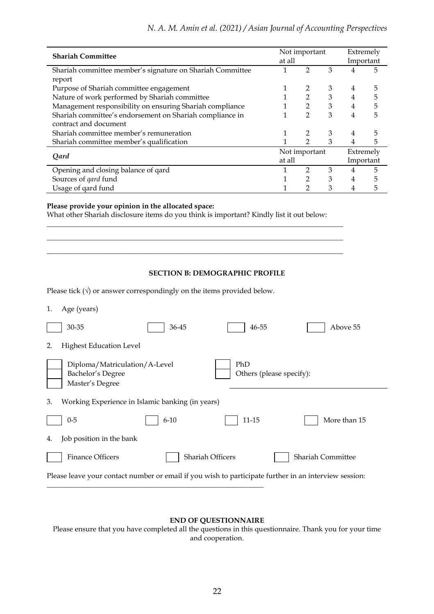| <b>Shariah Committee</b>                                  |               | Not important  |   |           | Extremely |  |
|-----------------------------------------------------------|---------------|----------------|---|-----------|-----------|--|
|                                                           |               |                |   | Important |           |  |
| Shariah committee member's signature on Shariah Committee |               |                | 3 |           | 5         |  |
| report                                                    |               |                |   |           |           |  |
| Purpose of Shariah committee engagement                   |               | 2              | 3 | 4         | 5         |  |
| Nature of work performed by Shariah committee             |               | $\overline{2}$ | 3 | 4         | 5         |  |
| Management responsibility on ensuring Shariah compliance  |               | 2              | 3 | 4         | 5         |  |
| Shariah committee's endorsement on Shariah compliance in  |               | $\overline{2}$ | 3 | 4         | 5         |  |
| contract and document                                     |               |                |   |           |           |  |
| Shariah committee member's remuneration                   |               |                | 3 |           | 5         |  |
| Shariah committee member's qualification                  |               | 2              | 3 |           | 5         |  |
| Qard                                                      | Not important |                |   | Extremely |           |  |
|                                                           | at all        |                |   | Important |           |  |
| Opening and closing balance of gard                       |               | っ              | 3 |           | 5         |  |
| Sources of <i>gard</i> fund                               |               | 2              | 3 | 4         | 5         |  |
| Usage of gard fund                                        |               |                | 3 |           | 5         |  |

#### **Please provide your opinion in the allocated space:**

What other Shariah disclosure items do you think is important? Kindly list it out below: \_\_\_\_\_\_\_\_\_\_\_\_\_\_\_\_\_\_\_\_\_\_\_\_\_\_\_\_\_\_\_\_\_\_\_\_\_\_\_\_\_\_\_\_\_\_\_\_\_\_\_\_\_\_\_\_\_\_\_\_\_\_\_\_\_\_\_\_\_\_\_\_\_\_\_\_\_\_\_\_\_\_

\_\_\_\_\_\_\_\_\_\_\_\_\_\_\_\_\_\_\_\_\_\_\_\_\_\_\_\_\_\_\_\_\_\_\_\_\_\_\_\_\_\_\_\_\_\_\_\_\_\_\_\_\_\_\_\_\_\_\_\_\_\_\_\_\_\_\_\_\_\_\_\_\_\_\_\_\_\_\_\_\_\_ \_\_\_\_\_\_\_\_\_\_\_\_\_\_\_\_\_\_\_\_\_\_\_\_\_\_\_\_\_\_\_\_\_\_\_\_\_\_\_\_\_\_\_\_\_\_\_\_\_\_\_\_\_\_\_\_\_\_\_\_\_\_\_\_\_\_\_\_\_\_\_\_\_\_\_\_\_\_\_\_\_\_

#### **SECTION B: DEMOGRAPHIC PROFILE**

Please tick  $(\sqrt{})$  or answer correspondingly on the items provided below.

\_\_\_\_\_\_\_\_\_\_\_\_\_\_\_\_\_\_\_\_\_\_\_\_\_\_\_\_\_\_\_\_\_\_\_\_\_\_\_\_\_\_\_\_\_\_\_\_\_\_\_\_\_\_\_\_\_\_\_\_

|  | Age (years) |  |
|--|-------------|--|
|--|-------------|--|

|                                                                                                       | 30-35                                                                 | 36-45            | 46-55                           | Above 55          |  |  |  |
|-------------------------------------------------------------------------------------------------------|-----------------------------------------------------------------------|------------------|---------------------------------|-------------------|--|--|--|
| 2.                                                                                                    | <b>Highest Education Level</b>                                        |                  |                                 |                   |  |  |  |
|                                                                                                       | Diploma/Matriculation/A-Level<br>Bachelor's Degree<br>Master's Degree |                  | PhD<br>Others (please specify): |                   |  |  |  |
| 3.                                                                                                    | Working Experience in Islamic banking (in years)                      |                  |                                 |                   |  |  |  |
|                                                                                                       | $0 - 5$                                                               | $6 - 10$         | $11 - 15$                       | More than 15      |  |  |  |
| 4.                                                                                                    | Job position in the bank                                              |                  |                                 |                   |  |  |  |
|                                                                                                       | <b>Finance Officers</b>                                               | Shariah Officers |                                 | Shariah Committee |  |  |  |
| Please leave your contact number or email if you wish to participate further in an interview session: |                                                                       |                  |                                 |                   |  |  |  |

### **END OF QUESTIONNAIRE**

Please ensure that you have completed all the questions in this questionnaire. Thank you for your time and cooperation.